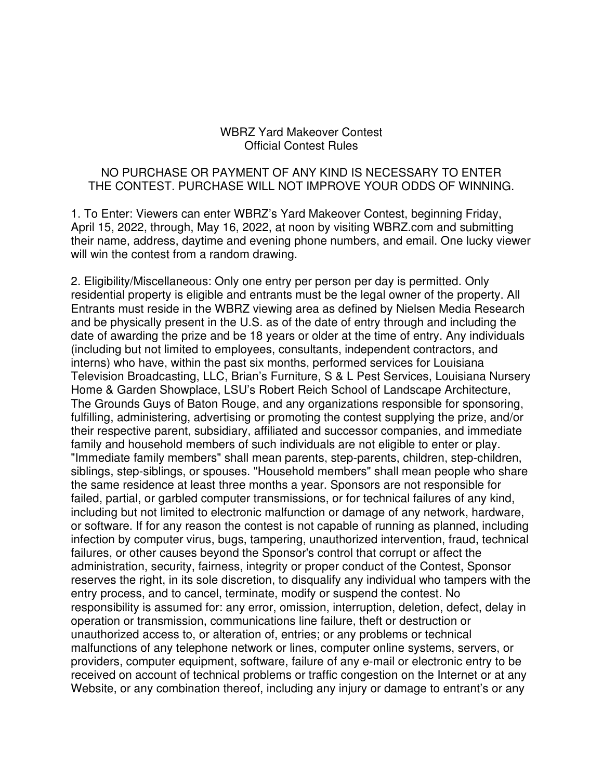## WBRZ Yard Makeover Contest Official Contest Rules

## NO PURCHASE OR PAYMENT OF ANY KIND IS NECESSARY TO ENTER THE CONTEST. PURCHASE WILL NOT IMPROVE YOUR ODDS OF WINNING.

1. To Enter: Viewers can enter WBRZ's Yard Makeover Contest, beginning Friday, April 15, 2022, through, May 16, 2022, at noon by visiting WBRZ.com and submitting their name, address, daytime and evening phone numbers, and email. One lucky viewer will win the contest from a random drawing.

2. Eligibility/Miscellaneous: Only one entry per person per day is permitted. Only residential property is eligible and entrants must be the legal owner of the property. All Entrants must reside in the WBRZ viewing area as defined by Nielsen Media Research and be physically present in the U.S. as of the date of entry through and including the date of awarding the prize and be 18 years or older at the time of entry. Any individuals (including but not limited to employees, consultants, independent contractors, and interns) who have, within the past six months, performed services for Louisiana Television Broadcasting, LLC, Brian's Furniture, S & L Pest Services, Louisiana Nursery Home & Garden Showplace, LSU's Robert Reich School of Landscape Architecture, The Grounds Guys of Baton Rouge, and any organizations responsible for sponsoring, fulfilling, administering, advertising or promoting the contest supplying the prize, and/or their respective parent, subsidiary, affiliated and successor companies, and immediate family and household members of such individuals are not eligible to enter or play. "Immediate family members" shall mean parents, step-parents, children, step-children, siblings, step-siblings, or spouses. "Household members" shall mean people who share the same residence at least three months a year. Sponsors are not responsible for failed, partial, or garbled computer transmissions, or for technical failures of any kind, including but not limited to electronic malfunction or damage of any network, hardware, or software. If for any reason the contest is not capable of running as planned, including infection by computer virus, bugs, tampering, unauthorized intervention, fraud, technical failures, or other causes beyond the Sponsor's control that corrupt or affect the administration, security, fairness, integrity or proper conduct of the Contest, Sponsor reserves the right, in its sole discretion, to disqualify any individual who tampers with the entry process, and to cancel, terminate, modify or suspend the contest. No responsibility is assumed for: any error, omission, interruption, deletion, defect, delay in operation or transmission, communications line failure, theft or destruction or unauthorized access to, or alteration of, entries; or any problems or technical malfunctions of any telephone network or lines, computer online systems, servers, or providers, computer equipment, software, failure of any e-mail or electronic entry to be received on account of technical problems or traffic congestion on the Internet or at any Website, or any combination thereof, including any injury or damage to entrant's or any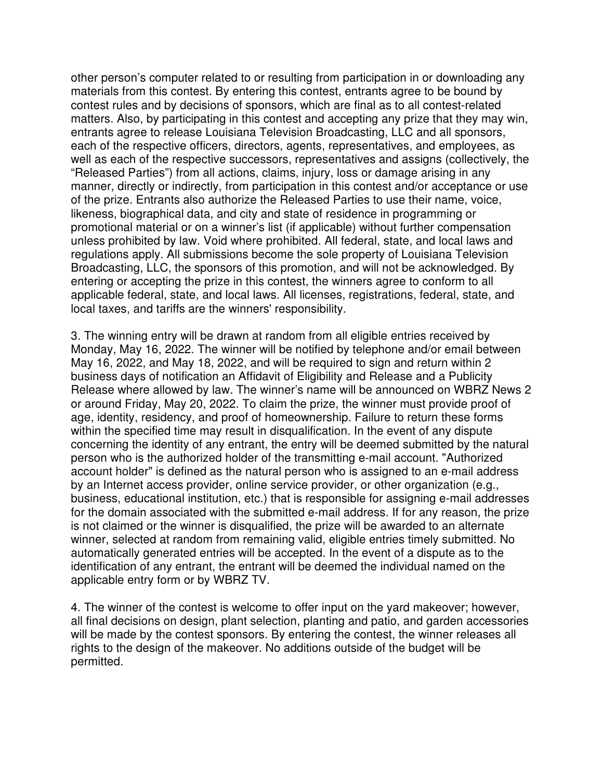other person's computer related to or resulting from participation in or downloading any materials from this contest. By entering this contest, entrants agree to be bound by contest rules and by decisions of sponsors, which are final as to all contest-related matters. Also, by participating in this contest and accepting any prize that they may win, entrants agree to release Louisiana Television Broadcasting, LLC and all sponsors, each of the respective officers, directors, agents, representatives, and employees, as well as each of the respective successors, representatives and assigns (collectively, the "Released Parties") from all actions, claims, injury, loss or damage arising in any manner, directly or indirectly, from participation in this contest and/or acceptance or use of the prize. Entrants also authorize the Released Parties to use their name, voice, likeness, biographical data, and city and state of residence in programming or promotional material or on a winner's list (if applicable) without further compensation unless prohibited by law. Void where prohibited. All federal, state, and local laws and regulations apply. All submissions become the sole property of Louisiana Television Broadcasting, LLC, the sponsors of this promotion, and will not be acknowledged. By entering or accepting the prize in this contest, the winners agree to conform to all applicable federal, state, and local laws. All licenses, registrations, federal, state, and local taxes, and tariffs are the winners' responsibility.

3. The winning entry will be drawn at random from all eligible entries received by Monday, May 16, 2022. The winner will be notified by telephone and/or email between May 16, 2022, and May 18, 2022, and will be required to sign and return within 2 business days of notification an Affidavit of Eligibility and Release and a Publicity Release where allowed by law. The winner's name will be announced on WBRZ News 2 or around Friday, May 20, 2022. To claim the prize, the winner must provide proof of age, identity, residency, and proof of homeownership. Failure to return these forms within the specified time may result in disqualification. In the event of any dispute concerning the identity of any entrant, the entry will be deemed submitted by the natural person who is the authorized holder of the transmitting e-mail account. "Authorized account holder" is defined as the natural person who is assigned to an e-mail address by an Internet access provider, online service provider, or other organization (e.g., business, educational institution, etc.) that is responsible for assigning e-mail addresses for the domain associated with the submitted e-mail address. If for any reason, the prize is not claimed or the winner is disqualified, the prize will be awarded to an alternate winner, selected at random from remaining valid, eligible entries timely submitted. No automatically generated entries will be accepted. In the event of a dispute as to the identification of any entrant, the entrant will be deemed the individual named on the applicable entry form or by WBRZ TV.

4. The winner of the contest is welcome to offer input on the yard makeover; however, all final decisions on design, plant selection, planting and patio, and garden accessories will be made by the contest sponsors. By entering the contest, the winner releases all rights to the design of the makeover. No additions outside of the budget will be permitted.